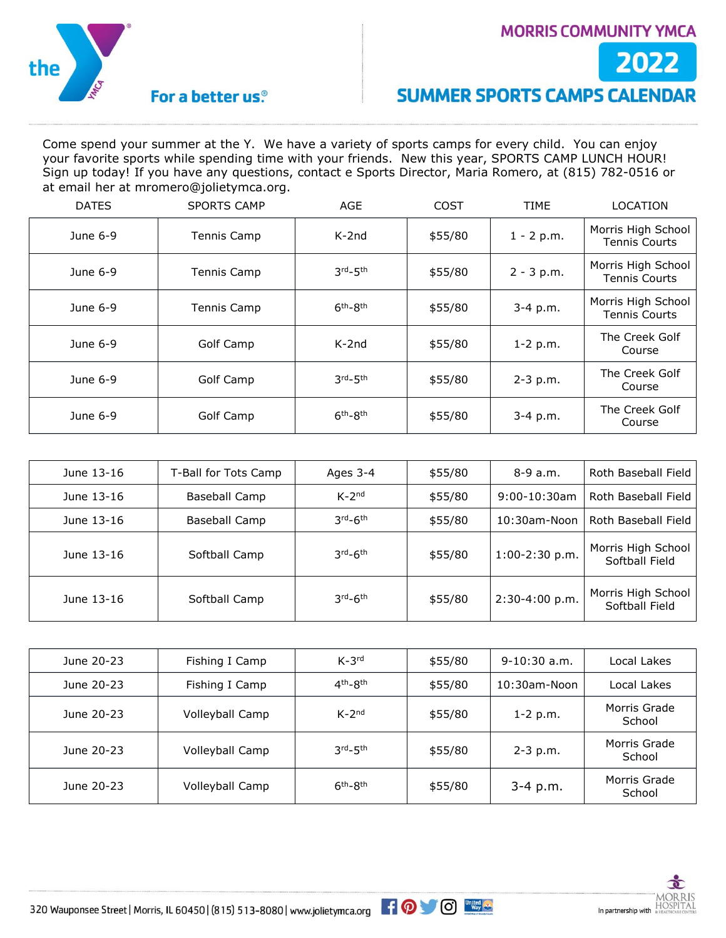

#### **MORRIS COMMUNITY YMCA**



## **SUMMER SPORTS CAMPS CALENDAR**

Come spend your summer at the Y. We have a variety of sports camps for every child. You can enjoy your favorite sports while spending time with your friends. New this year, SPORTS CAMP LUNCH HOUR! Sign up today! If you have any questions, contact e Sports Director, Maria Romero, at (815) 782-0516 or at email her at mromero@jolietymca.org.

| <b>DATES</b> | <b>SPORTS CAMP</b> | AGE         | COST    | <b>TIME</b>  | <b>LOCATION</b>                            |
|--------------|--------------------|-------------|---------|--------------|--------------------------------------------|
| June 6-9     | Tennis Camp        | $K-2nd$     | \$55/80 | $1 - 2 p.m.$ | Morris High School<br><b>Tennis Courts</b> |
| June 6-9     | Tennis Camp        | $3rd - 5th$ | \$55/80 | $2 - 3 p.m.$ | Morris High School<br><b>Tennis Courts</b> |
| June 6-9     | Tennis Camp        | $6th-8th$   | \$55/80 | 3-4 p.m.     | Morris High School<br><b>Tennis Courts</b> |
| June 6-9     | Golf Camp          | $K-2nd$     | \$55/80 | $1-2 p.m.$   | The Creek Golf<br>Course                   |
| June 6-9     | Golf Camp          | $3rd - 5th$ | \$55/80 | $2 - 3 p.m.$ | The Creek Golf<br>Course                   |
| June 6-9     | Golf Camp          | $6th-8th$   | \$55/80 | $3-4$ p.m.   | The Creek Golf<br>Course                   |

| June 13-16 | T-Ball for Tots Camp | Ages 3-4   | \$55/80 | $8-9a.m.$        | Roth Baseball Field                  |
|------------|----------------------|------------|---------|------------------|--------------------------------------|
| June 13-16 | Baseball Camp        | $K-2^{nd}$ | \$55/80 | $9:00-10:30$ am  | Roth Baseball Field                  |
| June 13-16 | Baseball Camp        | $3rd-6th$  | \$55/80 | $10:30$ am-Noon  | Roth Baseball Field                  |
| June 13-16 | Softball Camp        | $3rd-6th$  | \$55/80 | $1:00-2:30$ p.m. | Morris High School<br>Softball Field |
| June 13-16 | Softball Camp        | $3rd-6th$  | \$55/80 | 2:30-4:00 p.m.   | Morris High School<br>Softball Field |

| June 20-23 | Fishing I Camp  | $K-3^{rd}$  | \$55/80 | $9-10:30$ a.m.  | Local Lakes            |
|------------|-----------------|-------------|---------|-----------------|------------------------|
| June 20-23 | Fishing I Camp  | $4th - 8th$ | \$55/80 | $10:30$ am-Noon | Local Lakes            |
| June 20-23 | Volleyball Camp | $K-2^{nd}$  | \$55/80 | $1 - 2 p.m.$    | Morris Grade<br>School |
| June 20-23 | Volleyball Camp | 3rd_5th     | \$55/80 | $2 - 3 p.m.$    | Morris Grade<br>School |
| June 20-23 | Volleyball Camp | $6th - 8th$ | \$55/80 | $3-4$ p.m.      | Morris Grade<br>School |

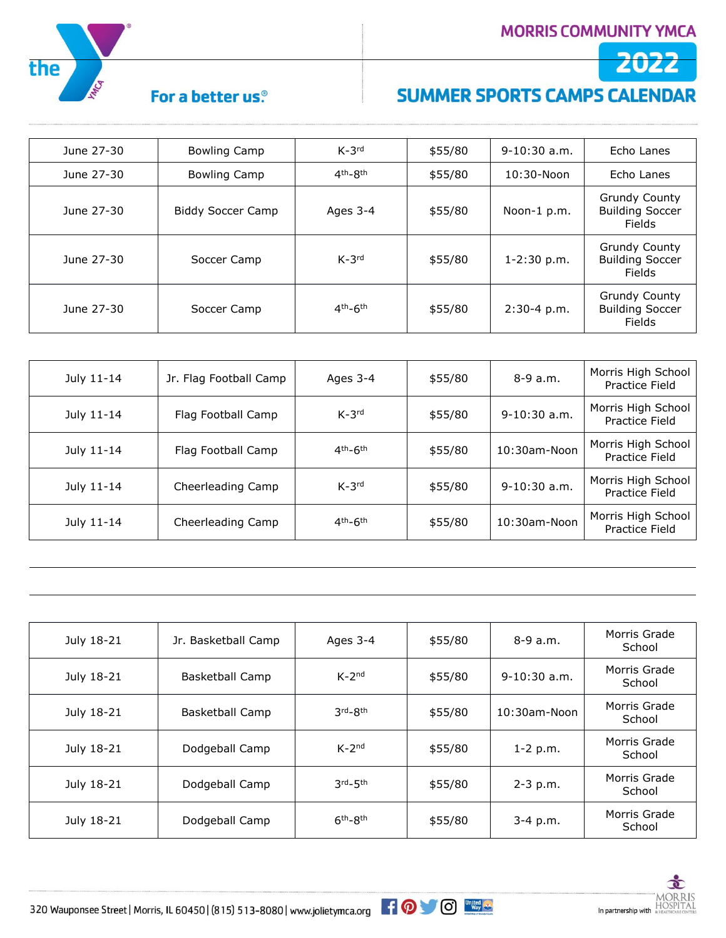2022



## For a better us.<sup>®</sup>

# **SUMMER SPORTS CAMPS CALENDAR**

| June 27-30 | <b>Bowling Camp</b>      | $K-3^{rd}$  | \$55/80 | $9-10:30$ a.m.  | Echo Lanes                                               |
|------------|--------------------------|-------------|---------|-----------------|----------------------------------------------------------|
| June 27-30 | <b>Bowling Camp</b>      | $4th - 8th$ | \$55/80 | $10:30 - N$ oon | Echo Lanes                                               |
| June 27-30 | <b>Biddy Soccer Camp</b> | Ages 3-4    | \$55/80 | Noon-1 p.m.     | Grundy County<br><b>Building Soccer</b><br>Fields        |
| June 27-30 | Soccer Camp              | $K-3^{rd}$  | \$55/80 | $1 - 2:30$ p.m. | <b>Grundy County</b><br><b>Building Soccer</b><br>Fields |
| June 27-30 | Soccer Camp              | $4th - 6th$ | \$55/80 | $2:30-4$ p.m.   | <b>Grundy County</b><br><b>Building Soccer</b><br>Fields |

| July 11-14 | Jr. Flag Football Camp | Ages $3-4$  | \$55/80 | $8-9a.m.$       | Morris High School<br>Practice Field |
|------------|------------------------|-------------|---------|-----------------|--------------------------------------|
| July 11-14 | Flag Football Camp     | $K-3^{rd}$  | \$55/80 | $9-10:30$ a.m.  | Morris High School<br>Practice Field |
| July 11-14 | Flag Football Camp     | $4th - 6th$ | \$55/80 | $10:30$ am-Noon | Morris High School<br>Practice Field |
| July 11-14 | Cheerleading Camp      | $K-3^{rd}$  | \$55/80 | $9-10:30$ a.m.  | Morris High School<br>Practice Field |
| July 11-14 | Cheerleading Camp      | $4th - 6th$ | \$55/80 | $10:30$ am-Noon | Morris High School<br>Practice Field |

| July 18-21 | Jr. Basketball Camp    | Ages 3-4    | \$55/80 | $8-9a.m.$      | Morris Grade<br>School |
|------------|------------------------|-------------|---------|----------------|------------------------|
| July 18-21 | <b>Basketball Camp</b> | $K-2^{nd}$  | \$55/80 | $9-10:30$ a.m. | Morris Grade<br>School |
| July 18-21 | <b>Basketball Camp</b> | 3rd-8th     | \$55/80 | 10:30am-Noon   | Morris Grade<br>School |
| July 18-21 | Dodgeball Camp         | $K-2^{nd}$  | \$55/80 | $1 - 2 p.m.$   | Morris Grade<br>School |
| July 18-21 | Dodgeball Camp         | $3rd - 5th$ | \$55/80 | $2 - 3 p.m.$   | Morris Grade<br>School |
| July 18-21 | Dodgeball Camp         | $6th-8th$   | \$55/80 | $3-4$ p.m.     | Morris Grade<br>School |